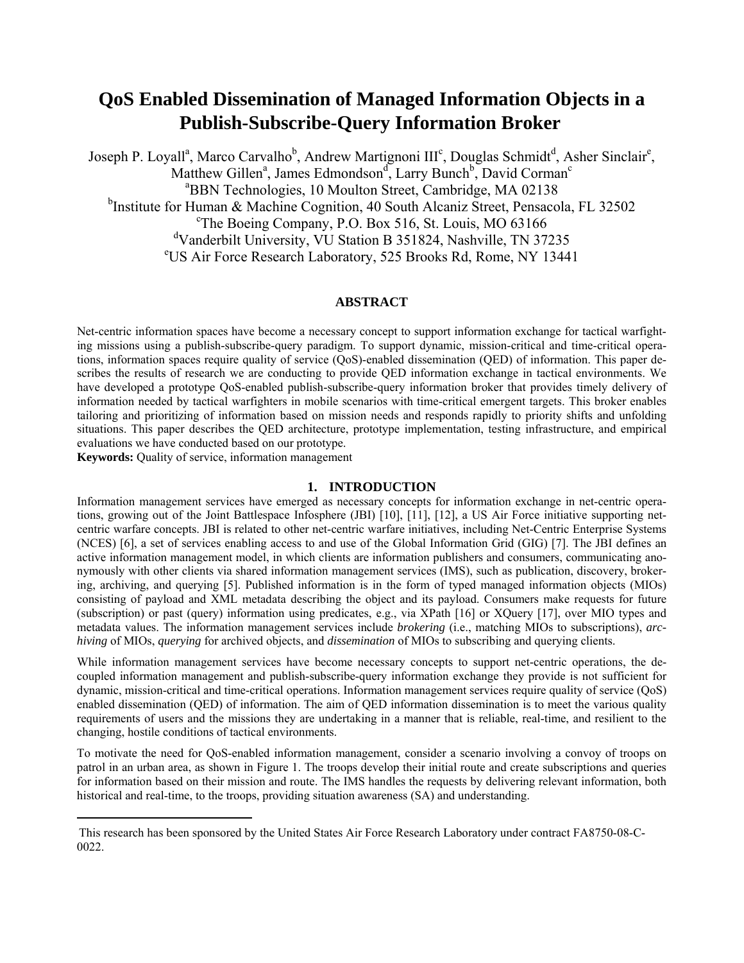# **QoS Enabled Dissemination of Managed Information Objects in a Publish-Subscribe-Query Information Broker**

Joseph P. Loyall<sup>a</sup>, Marco Carvalho<sup>b</sup>, Andrew Martignoni III<sup>c</sup>, Douglas Schmidt<sup>d</sup>, Asher Sinclair<sup>e</sup>, Matthew Gillen<sup>a</sup>, James Edmondson<sup>d</sup>, Larry Bunch<sup>b</sup>, David Corman<sup>c</sup> a BBN Technologies, 10 Moulton Street, Cambridge, MA 02138 <sup>b</sup>Institute for Human & Machine Cognition, 40 South Alcaniz Street, Pensacola, FL 32502 The Boeing Company, P.O. Box 516, St. Louis, MO 63166 <sup>d</sup>Vanderbilt University, VU Station B 351824, Nashville, TN 37235 US Air Force Research Laboratory, 525 Brooks Rd, Rome, NY 13441

# **ABSTRACT**

Net-centric information spaces have become a necessary concept to support information exchange for tactical warfighting missions using a publish-subscribe-query paradigm. To support dynamic, mission-critical and time-critical operations, information spaces require quality of service (QoS)-enabled dissemination (QED) of information. This paper describes the results of research we are conducting to provide QED information exchange in tactical environments. We have developed a prototype QoS-enabled publish-subscribe-query information broker that provides timely delivery of information needed by tactical warfighters in mobile scenarios with time-critical emergent targets. This broker enables tailoring and prioritizing of information based on mission needs and responds rapidly to priority shifts and unfolding situations. This paper describes the QED architecture, prototype implementation, testing infrastructure, and empirical evaluations we have conducted based on our prototype.

**Keywords:** Quality of service, information management

1

#### **1. INTRODUCTION**

Information management services have emerged as necessary concepts for information exchange in net-centric operations, growing out of the Joint Battlespace Infosphere (JBI) [10], [11], [12], a US Air Force initiative supporting netcentric warfare concepts. JBI is related to other net-centric warfare initiatives, including Net-Centric Enterprise Systems (NCES) [6], a set of services enabling access to and use of the Global Information Grid (GIG) [7]. The JBI defines an active information management model, in which clients are information publishers and consumers, communicating anonymously with other clients via shared information management services (IMS), such as publication, discovery, brokering, archiving, and querying [5]. Published information is in the form of typed managed information objects (MIOs) consisting of payload and XML metadata describing the object and its payload. Consumers make requests for future (subscription) or past (query) information using predicates, e.g., via XPath [16] or XQuery [17], over MIO types and metadata values. The information management services include *brokering* (i.e., matching MIOs to subscriptions), *archiving* of MIOs, *querying* for archived objects, and *dissemination* of MIOs to subscribing and querying clients.

While information management services have become necessary concepts to support net-centric operations, the decoupled information management and publish-subscribe-query information exchange they provide is not sufficient for dynamic, mission-critical and time-critical operations. Information management services require quality of service (QoS) enabled dissemination (QED) of information. The aim of QED information dissemination is to meet the various quality requirements of users and the missions they are undertaking in a manner that is reliable, real-time, and resilient to the changing, hostile conditions of tactical environments.

To motivate the need for QoS-enabled information management, consider a scenario involving a convoy of troops on patrol in an urban area, as shown in Figure 1. The troops develop their initial route and create subscriptions and queries for information based on their mission and route. The IMS handles the requests by delivering relevant information, both historical and real-time, to the troops, providing situation awareness (SA) and understanding.

This research has been sponsored by the United States Air Force Research Laboratory under contract FA8750-08-C-0022.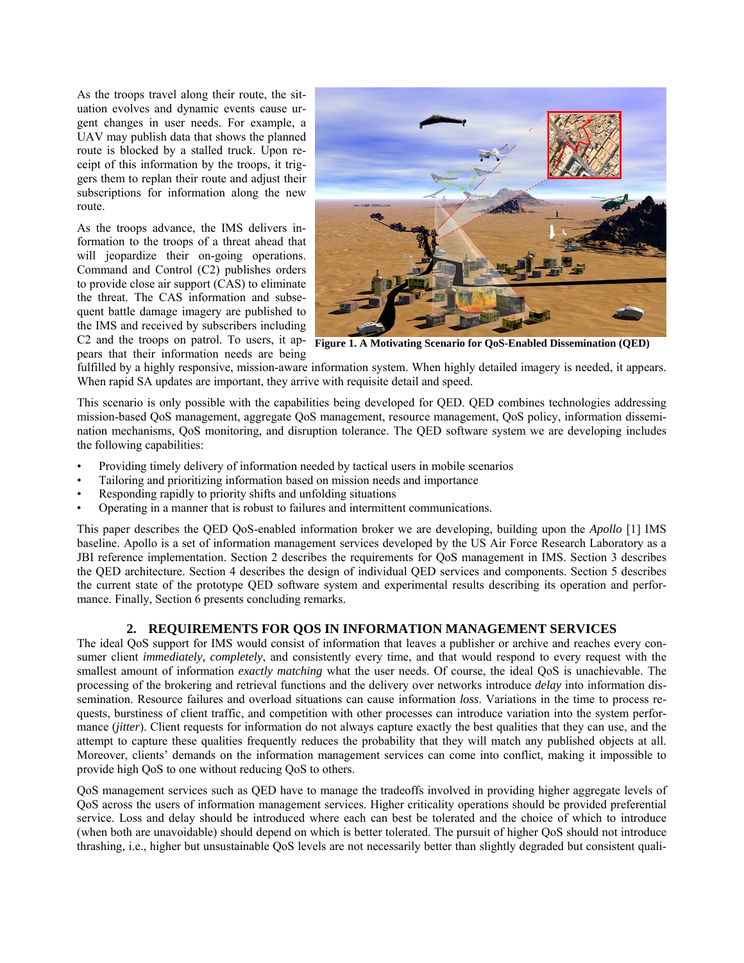As the troops travel along their route, the situation evolves and dynamic events cause urgent changes in user needs. For example, a UAV may publish data that shows the planned route is blocked by a stalled truck. Upon receipt of this information by the troops, it triggers them to replan their route and adjust their subscriptions for information along the new route.

As the troops advance, the IMS delivers information to the troops of a threat ahead that will jeopardize their on-going operations. Command and Control (C2) publishes orders to provide close air support (CAS) to eliminate the threat. The CAS information and subsequent battle damage imagery are published to the IMS and received by subscribers including pears that their information needs are being



C2 and the troops on patrol. To users, it ap-<br>**Figure 1. A Motivating Scenario for QoS-Enabled Dissemination (QED)** 

fulfilled by a highly responsive, mission-aware information system. When highly detailed imagery is needed, it appears. When rapid SA updates are important, they arrive with requisite detail and speed.

This scenario is only possible with the capabilities being developed for QED. QED combines technologies addressing mission-based QoS management, aggregate QoS management, resource management, QoS policy, information dissemination mechanisms, QoS monitoring, and disruption tolerance. The QED software system we are developing includes the following capabilities:

- Providing timely delivery of information needed by tactical users in mobile scenarios
- Tailoring and prioritizing information based on mission needs and importance
- Responding rapidly to priority shifts and unfolding situations
- Operating in a manner that is robust to failures and intermittent communications.

This paper describes the QED QoS-enabled information broker we are developing, building upon the *Apollo* [1] IMS baseline. Apollo is a set of information management services developed by the US Air Force Research Laboratory as a JBI reference implementation. Section 2 describes the requirements for QoS management in IMS. Section 3 describes the QED architecture. Section 4 describes the design of individual QED services and components. Section 5 describes the current state of the prototype QED software system and experimental results describing its operation and performance. Finally, Section 6 presents concluding remarks.

# **2. REQUIREMENTS FOR QOS IN INFORMATION MANAGEMENT SERVICES**

The ideal QoS support for IMS would consist of information that leaves a publisher or archive and reaches every consumer client *immediately, completely*, and consistently every time, and that would respond to every request with the smallest amount of information *exactly matching* what the user needs. Of course, the ideal QoS is unachievable. The processing of the brokering and retrieval functions and the delivery over networks introduce *delay* into information dissemination. Resource failures and overload situations can cause information *loss*. Variations in the time to process requests, burstiness of client traffic, and competition with other processes can introduce variation into the system performance (*jitter*). Client requests for information do not always capture exactly the best qualities that they can use, and the attempt to capture these qualities frequently reduces the probability that they will match any published objects at all. Moreover, clients' demands on the information management services can come into conflict, making it impossible to provide high QoS to one without reducing QoS to others.

QoS management services such as QED have to manage the tradeoffs involved in providing higher aggregate levels of QoS across the users of information management services. Higher criticality operations should be provided preferential service. Loss and delay should be introduced where each can best be tolerated and the choice of which to introduce (when both are unavoidable) should depend on which is better tolerated. The pursuit of higher QoS should not introduce thrashing, i.e., higher but unsustainable QoS levels are not necessarily better than slightly degraded but consistent quali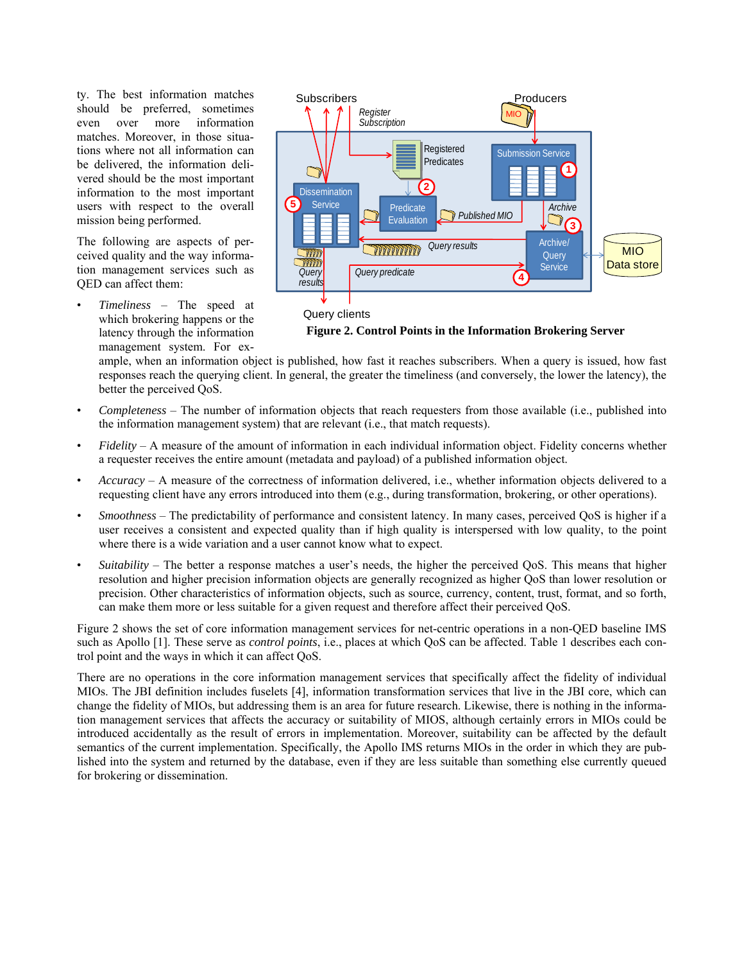ty. The best information matches should be preferred, sometimes even over more information matches. Moreover, in those situations where not all information can be delivered, the information delivered should be the most important information to the most important users with respect to the overall mission being performed.

The following are aspects of perceived quality and the way information management services such as QED can affect them:

• *Timeliness* – The speed at which brokering happens or the latency through the information management system. For ex-





**Figure 2. Control Points in the Information Brokering Server** 

ample, when an information object is published, how fast it reaches subscribers. When a query is issued, how fast responses reach the querying client. In general, the greater the timeliness (and conversely, the lower the latency), the better the perceived QoS.

- *Completeness* The number of information objects that reach requesters from those available (i.e., published into the information management system) that are relevant (i.e., that match requests).
- *Fidelity* A measure of the amount of information in each individual information object. Fidelity concerns whether a requester receives the entire amount (metadata and payload) of a published information object.
- *Accuracy* A measure of the correctness of information delivered, i.e., whether information objects delivered to a requesting client have any errors introduced into them (e.g., during transformation, brokering, or other operations).
- *Smoothness* The predictability of performance and consistent latency. In many cases, perceived QoS is higher if a user receives a consistent and expected quality than if high quality is interspersed with low quality, to the point where there is a wide variation and a user cannot know what to expect.
- *Suitability* The better a response matches a user's needs, the higher the perceived QoS. This means that higher resolution and higher precision information objects are generally recognized as higher QoS than lower resolution or precision. Other characteristics of information objects, such as source, currency, content, trust, format, and so forth, can make them more or less suitable for a given request and therefore affect their perceived QoS.

Figure 2 shows the set of core information management services for net-centric operations in a non-QED baseline IMS such as Apollo [1]. These serve as *control points*, i.e., places at which QoS can be affected. Table 1 describes each control point and the ways in which it can affect QoS.

There are no operations in the core information management services that specifically affect the fidelity of individual MIOs. The JBI definition includes fuselets [4], information transformation services that live in the JBI core, which can change the fidelity of MIOs, but addressing them is an area for future research. Likewise, there is nothing in the information management services that affects the accuracy or suitability of MIOS, although certainly errors in MIOs could be introduced accidentally as the result of errors in implementation. Moreover, suitability can be affected by the default semantics of the current implementation. Specifically, the Apollo IMS returns MIOs in the order in which they are published into the system and returned by the database, even if they are less suitable than something else currently queued for brokering or dissemination.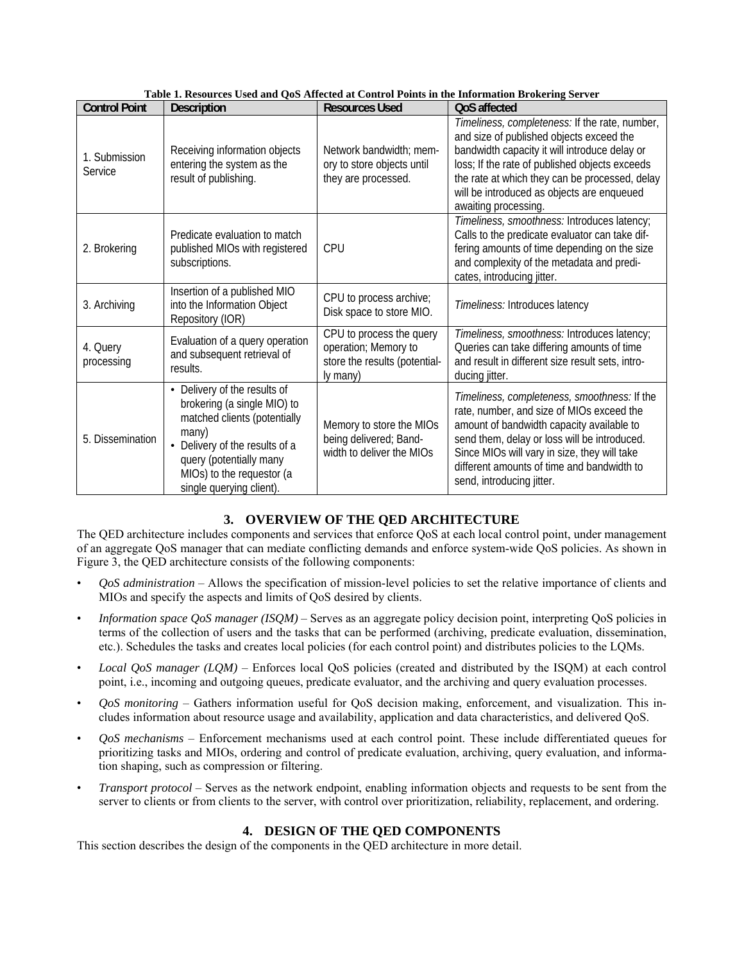| <b>Control Point</b>     | <b>Description</b>                                                                                                                                                                                                                    | <b>Resources Used</b>                                                                         | QoS affected                                                                                                                                                                                                                                                                                                          |
|--------------------------|---------------------------------------------------------------------------------------------------------------------------------------------------------------------------------------------------------------------------------------|-----------------------------------------------------------------------------------------------|-----------------------------------------------------------------------------------------------------------------------------------------------------------------------------------------------------------------------------------------------------------------------------------------------------------------------|
| 1. Submission<br>Service | Receiving information objects<br>entering the system as the<br>result of publishing.                                                                                                                                                  | Network bandwidth; mem-<br>ory to store objects until<br>they are processed.                  | Timeliness, completeness: If the rate, number,<br>and size of published objects exceed the<br>bandwidth capacity it will introduce delay or<br>loss; If the rate of published objects exceeds<br>the rate at which they can be processed, delay<br>will be introduced as objects are enqueued<br>awaiting processing. |
| 2. Brokering             | Predicate evaluation to match<br>published MIOs with registered<br>subscriptions.                                                                                                                                                     | <b>CPU</b>                                                                                    | Timeliness, smoothness: Introduces latency;<br>Calls to the predicate evaluator can take dif-<br>fering amounts of time depending on the size<br>and complexity of the metadata and predi-<br>cates, introducing jitter.                                                                                              |
| 3. Archiving             | Insertion of a published MIO<br>into the Information Object<br>Repository (IOR)                                                                                                                                                       | CPU to process archive;<br>Disk space to store MIO.                                           | Timeliness: Introduces latency                                                                                                                                                                                                                                                                                        |
| 4. Query<br>processing   | Evaluation of a query operation<br>and subsequent retrieval of<br>results.                                                                                                                                                            | CPU to process the query<br>operation; Memory to<br>store the results (potential-<br>ly many) | Timeliness, smoothness: Introduces latency;<br>Queries can take differing amounts of time<br>and result in different size result sets, intro-<br>ducing jitter.                                                                                                                                                       |
| 5. Dissemination         | Delivery of the results of<br>$\bullet$<br>brokering (a single MIO) to<br>matched clients (potentially<br>many)<br>• Delivery of the results of a<br>query (potentially many<br>MIOs) to the requestor (a<br>single querying client). | Memory to store the MIOs<br>being delivered; Band-<br>width to deliver the MIOs               | Timeliness, completeness, smoothness: If the<br>rate, number, and size of MIOs exceed the<br>amount of bandwidth capacity available to<br>send them, delay or loss will be introduced.<br>Since MIOs will vary in size, they will take<br>different amounts of time and bandwidth to<br>send, introducing jitter.     |

| Table 1. Resources Used and QoS Affected at Control Points in the Information Brokering Server |  |
|------------------------------------------------------------------------------------------------|--|
|------------------------------------------------------------------------------------------------|--|

# **3. OVERVIEW OF THE QED ARCHITECTURE**

The QED architecture includes components and services that enforce QoS at each local control point, under management of an aggregate QoS manager that can mediate conflicting demands and enforce system-wide QoS policies. As shown in Figure 3, the QED architecture consists of the following components:

- *QoS administration* Allows the specification of mission-level policies to set the relative importance of clients and MIOs and specify the aspects and limits of QoS desired by clients.
- *Information space QoS manager (ISQM)* Serves as an aggregate policy decision point, interpreting QoS policies in terms of the collection of users and the tasks that can be performed (archiving, predicate evaluation, dissemination, etc.). Schedules the tasks and creates local policies (for each control point) and distributes policies to the LQMs.
- *Local QoS manager (LQM)* Enforces local QoS policies (created and distributed by the ISQM) at each control point, i.e., incoming and outgoing queues, predicate evaluator, and the archiving and query evaluation processes.
- *QoS monitoring* Gathers information useful for QoS decision making, enforcement, and visualization. This includes information about resource usage and availability, application and data characteristics, and delivered QoS.
- *QoS mechanisms* Enforcement mechanisms used at each control point. These include differentiated queues for prioritizing tasks and MIOs, ordering and control of predicate evaluation, archiving, query evaluation, and information shaping, such as compression or filtering.
- *Transport protocol* Serves as the network endpoint, enabling information objects and requests to be sent from the server to clients or from clients to the server, with control over prioritization, reliability, replacement, and ordering.

# **4. DESIGN OF THE QED COMPONENTS**

This section describes the design of the components in the QED architecture in more detail.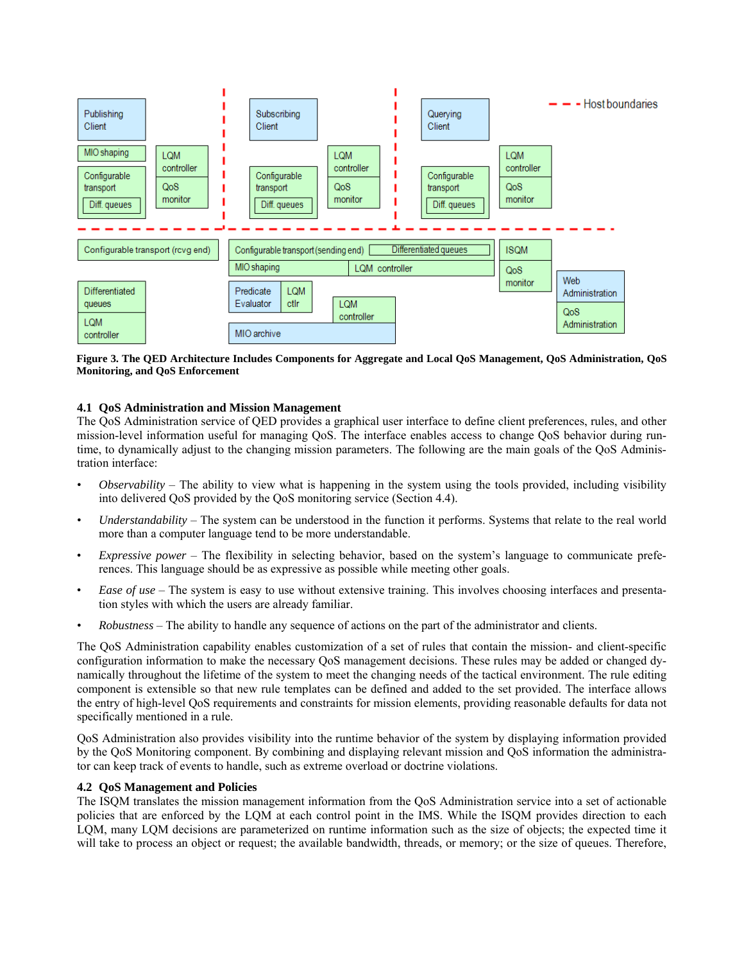

**Figure 3. The QED Architecture Includes Components for Aggregate and Local QoS Management, QoS Administration, QoS Monitoring, and QoS Enforcement** 

# **4.1 QoS Administration and Mission Management**

The QoS Administration service of QED provides a graphical user interface to define client preferences, rules, and other mission-level information useful for managing QoS. The interface enables access to change QoS behavior during runtime, to dynamically adjust to the changing mission parameters. The following are the main goals of the QoS Administration interface:

- *Observability* The ability to view what is happening in the system using the tools provided, including visibility into delivered QoS provided by the QoS monitoring service (Section 4.4).
- *Understandability* The system can be understood in the function it performs. Systems that relate to the real world more than a computer language tend to be more understandable.
- *Expressive power* The flexibility in selecting behavior, based on the system's language to communicate preferences. This language should be as expressive as possible while meeting other goals.
- *Ease of use* The system is easy to use without extensive training. This involves choosing interfaces and presentation styles with which the users are already familiar.
- *Robustness* The ability to handle any sequence of actions on the part of the administrator and clients.

The QoS Administration capability enables customization of a set of rules that contain the mission- and client-specific configuration information to make the necessary QoS management decisions. These rules may be added or changed dynamically throughout the lifetime of the system to meet the changing needs of the tactical environment. The rule editing component is extensible so that new rule templates can be defined and added to the set provided. The interface allows the entry of high-level QoS requirements and constraints for mission elements, providing reasonable defaults for data not specifically mentioned in a rule.

QoS Administration also provides visibility into the runtime behavior of the system by displaying information provided by the QoS Monitoring component. By combining and displaying relevant mission and QoS information the administrator can keep track of events to handle, such as extreme overload or doctrine violations.

### **4.2 QoS Management and Policies**

The ISQM translates the mission management information from the QoS Administration service into a set of actionable policies that are enforced by the LQM at each control point in the IMS. While the ISQM provides direction to each LQM, many LQM decisions are parameterized on runtime information such as the size of objects; the expected time it will take to process an object or request; the available bandwidth, threads, or memory; or the size of queues. Therefore,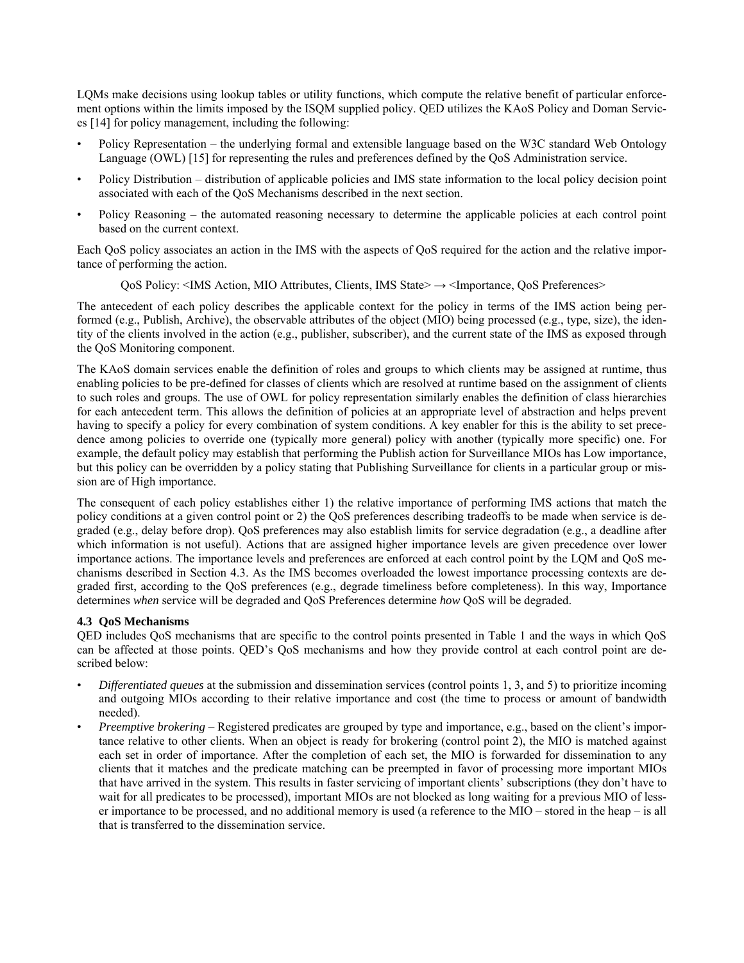LQMs make decisions using lookup tables or utility functions, which compute the relative benefit of particular enforcement options within the limits imposed by the ISQM supplied policy. QED utilizes the KAoS Policy and Doman Services [14] for policy management, including the following:

- Policy Representation the underlying formal and extensible language based on the W3C standard Web Ontology Language (OWL) [15] for representing the rules and preferences defined by the QoS Administration service.
- Policy Distribution distribution of applicable policies and IMS state information to the local policy decision point associated with each of the QoS Mechanisms described in the next section.
- Policy Reasoning the automated reasoning necessary to determine the applicable policies at each control point based on the current context.

Each QoS policy associates an action in the IMS with the aspects of QoS required for the action and the relative importance of performing the action.

QoS Policy: <IMS Action, MIO Attributes, Clients, IMS State> → <Importance, QoS Preferences>

The antecedent of each policy describes the applicable context for the policy in terms of the IMS action being performed (e.g., Publish, Archive), the observable attributes of the object (MIO) being processed (e.g., type, size), the identity of the clients involved in the action (e.g., publisher, subscriber), and the current state of the IMS as exposed through the QoS Monitoring component.

The KAoS domain services enable the definition of roles and groups to which clients may be assigned at runtime, thus enabling policies to be pre-defined for classes of clients which are resolved at runtime based on the assignment of clients to such roles and groups. The use of OWL for policy representation similarly enables the definition of class hierarchies for each antecedent term. This allows the definition of policies at an appropriate level of abstraction and helps prevent having to specify a policy for every combination of system conditions. A key enabler for this is the ability to set precedence among policies to override one (typically more general) policy with another (typically more specific) one. For example, the default policy may establish that performing the Publish action for Surveillance MIOs has Low importance, but this policy can be overridden by a policy stating that Publishing Surveillance for clients in a particular group or mission are of High importance.

The consequent of each policy establishes either 1) the relative importance of performing IMS actions that match the policy conditions at a given control point or 2) the QoS preferences describing tradeoffs to be made when service is degraded (e.g., delay before drop). QoS preferences may also establish limits for service degradation (e.g., a deadline after which information is not useful). Actions that are assigned higher importance levels are given precedence over lower importance actions. The importance levels and preferences are enforced at each control point by the LQM and QoS mechanisms described in Section 4.3. As the IMS becomes overloaded the lowest importance processing contexts are degraded first, according to the QoS preferences (e.g., degrade timeliness before completeness). In this way, Importance determines *when* service will be degraded and QoS Preferences determine *how* QoS will be degraded.

### **4.3 QoS Mechanisms**

QED includes QoS mechanisms that are specific to the control points presented in Table 1 and the ways in which QoS can be affected at those points. QED's QoS mechanisms and how they provide control at each control point are described below:

- *Differentiated queues* at the submission and dissemination services (control points 1, 3, and 5) to prioritize incoming and outgoing MIOs according to their relative importance and cost (the time to process or amount of bandwidth needed).
- *Preemptive brokering* Registered predicates are grouped by type and importance, e.g., based on the client's importance relative to other clients. When an object is ready for brokering (control point 2), the MIO is matched against each set in order of importance. After the completion of each set, the MIO is forwarded for dissemination to any clients that it matches and the predicate matching can be preempted in favor of processing more important MIOs that have arrived in the system. This results in faster servicing of important clients' subscriptions (they don't have to wait for all predicates to be processed), important MIOs are not blocked as long waiting for a previous MIO of lesser importance to be processed, and no additional memory is used (a reference to the MIO – stored in the heap – is all that is transferred to the dissemination service.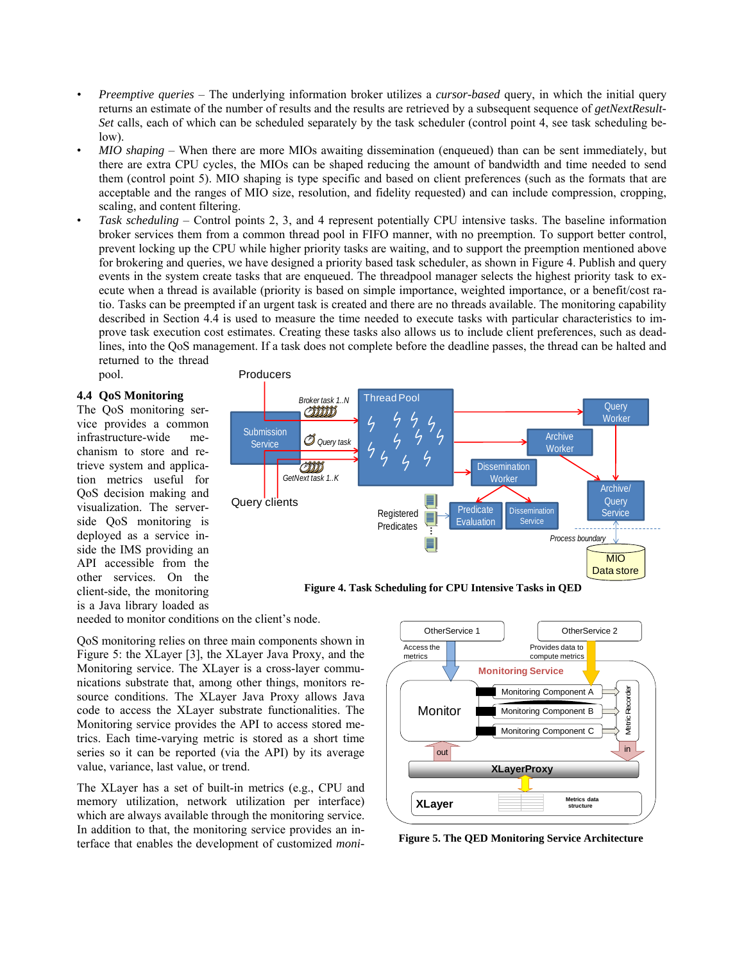- *Preemptive queries*  The underlying information broker utilizes a *cursor-based* query, in which the initial query returns an estimate of the number of results and the results are retrieved by a subsequent sequence of *getNextResult-Set* calls, each of which can be scheduled separately by the task scheduler (control point 4, see task scheduling below).
- *MIO shaping* When there are more MIOs awaiting dissemination (enqueued) than can be sent immediately, but there are extra CPU cycles, the MIOs can be shaped reducing the amount of bandwidth and time needed to send them (control point 5). MIO shaping is type specific and based on client preferences (such as the formats that are acceptable and the ranges of MIO size, resolution, and fidelity requested) and can include compression, cropping, scaling, and content filtering.
- *Task scheduling* Control points 2, 3, and 4 represent potentially CPU intensive tasks. The baseline information broker services them from a common thread pool in FIFO manner, with no preemption. To support better control, prevent locking up the CPU while higher priority tasks are waiting, and to support the preemption mentioned above for brokering and queries, we have designed a priority based task scheduler, as shown in Figure 4. Publish and query events in the system create tasks that are enqueued. The threadpool manager selects the highest priority task to execute when a thread is available (priority is based on simple importance, weighted importance, or a benefit/cost ratio. Tasks can be preempted if an urgent task is created and there are no threads available. The monitoring capability described in Section 4.4 is used to measure the time needed to execute tasks with particular characteristics to improve task execution cost estimates. Creating these tasks also allows us to include client preferences, such as deadlines, into the QoS management. If a task does not complete before the deadline passes, the thread can be halted and returned to the thread

pool.

# **4.4 QoS Monitoring**

The QoS monitoring service provides a common infrastructure-wide mechanism to store and retrieve system and application metrics useful for QoS decision making and visualization. The serverside QoS monitoring is deployed as a service inside the IMS providing an API accessible from the other services. On the client-side, the monitoring is a Java library loaded as



**Figure 4. Task Scheduling for CPU Intensive Tasks in QED** 

needed to monitor conditions on the client's node.

QoS monitoring relies on three main components shown in Figure 5: the XLayer [3], the XLayer Java Proxy, and the Monitoring service. The XLayer is a cross-layer communications substrate that, among other things, monitors resource conditions. The XLayer Java Proxy allows Java code to access the XLayer substrate functionalities. The Monitoring service provides the API to access stored metrics. Each time-varying metric is stored as a short time series so it can be reported (via the API) by its average value, variance, last value, or trend.

The XLayer has a set of built-in metrics (e.g., CPU and memory utilization, network utilization per interface) which are always available through the monitoring service. In addition to that, the monitoring service provides an interface that enables the development of customized *moni-*



**Figure 5. The QED Monitoring Service Architecture**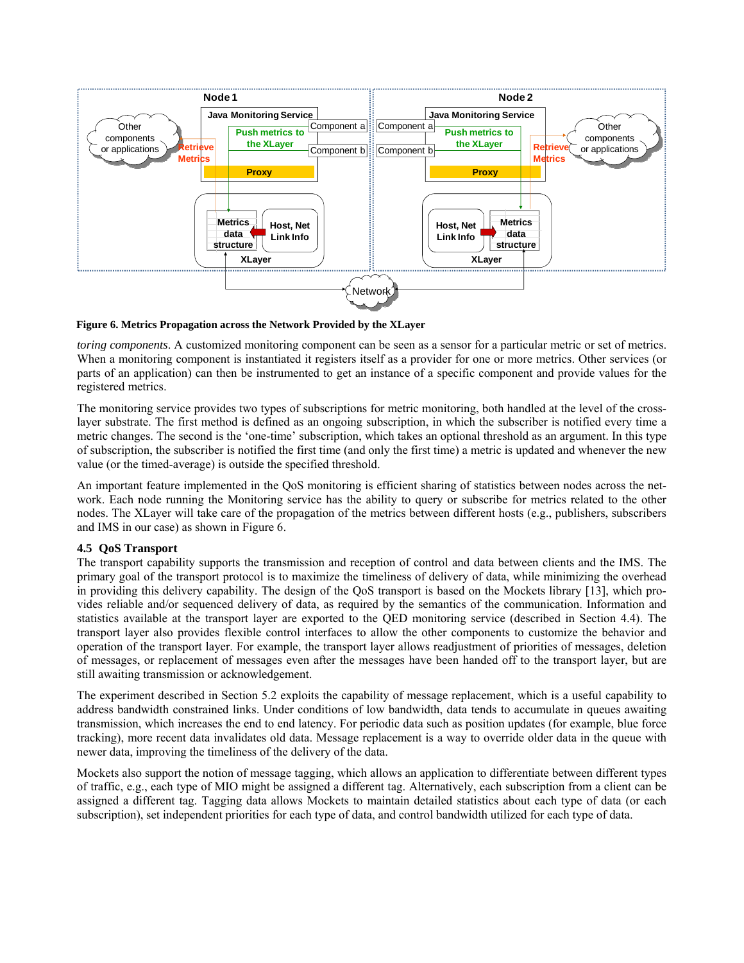

### **Figure 6. Metrics Propagation across the Network Provided by the XLayer**

*toring components*. A customized monitoring component can be seen as a sensor for a particular metric or set of metrics. When a monitoring component is instantiated it registers itself as a provider for one or more metrics. Other services (or parts of an application) can then be instrumented to get an instance of a specific component and provide values for the registered metrics.

The monitoring service provides two types of subscriptions for metric monitoring, both handled at the level of the crosslayer substrate. The first method is defined as an ongoing subscription, in which the subscriber is notified every time a metric changes. The second is the 'one-time' subscription, which takes an optional threshold as an argument. In this type of subscription, the subscriber is notified the first time (and only the first time) a metric is updated and whenever the new value (or the timed-average) is outside the specified threshold.

An important feature implemented in the QoS monitoring is efficient sharing of statistics between nodes across the network. Each node running the Monitoring service has the ability to query or subscribe for metrics related to the other nodes. The XLayer will take care of the propagation of the metrics between different hosts (e.g., publishers, subscribers and IMS in our case) as shown in Figure 6.

# **4.5 QoS Transport**

The transport capability supports the transmission and reception of control and data between clients and the IMS. The primary goal of the transport protocol is to maximize the timeliness of delivery of data, while minimizing the overhead in providing this delivery capability. The design of the QoS transport is based on the Mockets library [13], which provides reliable and/or sequenced delivery of data, as required by the semantics of the communication. Information and statistics available at the transport layer are exported to the QED monitoring service (described in Section 4.4). The transport layer also provides flexible control interfaces to allow the other components to customize the behavior and operation of the transport layer. For example, the transport layer allows readjustment of priorities of messages, deletion of messages, or replacement of messages even after the messages have been handed off to the transport layer, but are still awaiting transmission or acknowledgement.

The experiment described in Section 5.2 exploits the capability of message replacement, which is a useful capability to address bandwidth constrained links. Under conditions of low bandwidth, data tends to accumulate in queues awaiting transmission, which increases the end to end latency. For periodic data such as position updates (for example, blue force tracking), more recent data invalidates old data. Message replacement is a way to override older data in the queue with newer data, improving the timeliness of the delivery of the data.

Mockets also support the notion of message tagging, which allows an application to differentiate between different types of traffic, e.g., each type of MIO might be assigned a different tag. Alternatively, each subscription from a client can be assigned a different tag. Tagging data allows Mockets to maintain detailed statistics about each type of data (or each subscription), set independent priorities for each type of data, and control bandwidth utilized for each type of data.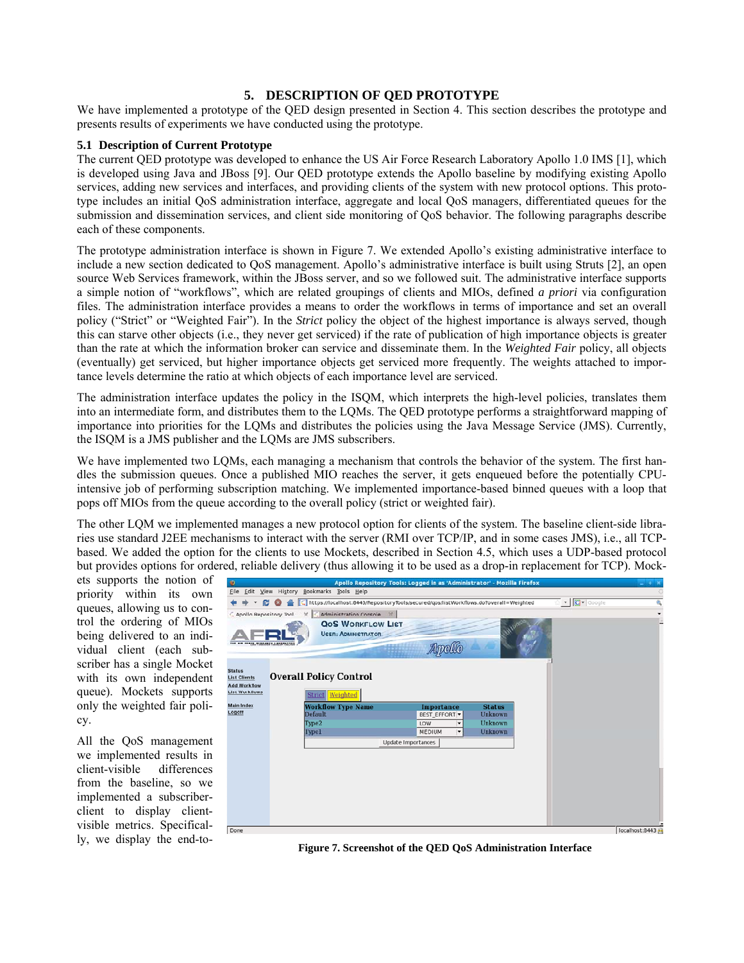# **5. DESCRIPTION OF QED PROTOTYPE**

We have implemented a prototype of the QED design presented in Section 4. This section describes the prototype and presents results of experiments we have conducted using the prototype.

## **5.1 Description of Current Prototype**

The current QED prototype was developed to enhance the US Air Force Research Laboratory Apollo 1.0 IMS [1], which is developed using Java and JBoss [9]. Our QED prototype extends the Apollo baseline by modifying existing Apollo services, adding new services and interfaces, and providing clients of the system with new protocol options. This prototype includes an initial QoS administration interface, aggregate and local QoS managers, differentiated queues for the submission and dissemination services, and client side monitoring of QoS behavior. The following paragraphs describe each of these components.

The prototype administration interface is shown in Figure 7. We extended Apollo's existing administrative interface to include a new section dedicated to QoS management. Apollo's administrative interface is built using Struts [2], an open source Web Services framework, within the JBoss server, and so we followed suit. The administrative interface supports a simple notion of "workflows", which are related groupings of clients and MIOs, defined *a priori* via configuration files. The administration interface provides a means to order the workflows in terms of importance and set an overall policy ("Strict" or "Weighted Fair"). In the *Strict* policy the object of the highest importance is always served, though this can starve other objects (i.e., they never get serviced) if the rate of publication of high importance objects is greater than the rate at which the information broker can service and disseminate them. In the *Weighted Fair* policy, all objects (eventually) get serviced, but higher importance objects get serviced more frequently. The weights attached to importance levels determine the ratio at which objects of each importance level are serviced.

The administration interface updates the policy in the ISQM, which interprets the high-level policies, translates them into an intermediate form, and distributes them to the LQMs. The QED prototype performs a straightforward mapping of importance into priorities for the LQMs and distributes the policies using the Java Message Service (JMS). Currently, the ISQM is a JMS publisher and the LQMs are JMS subscribers.

We have implemented two LQMs, each managing a mechanism that controls the behavior of the system. The first handles the submission queues. Once a published MIO reaches the server, it gets enqueued before the potentially CPUintensive job of performing subscription matching. We implemented importance-based binned queues with a loop that pops off MIOs from the queue according to the overall policy (strict or weighted fair).

The other LQM we implemented manages a new protocol option for clients of the system. The baseline client-side libraries use standard J2EE mechanisms to interact with the server (RMI over TCP/IP, and in some cases JMS), i.e., all TCPbased. We added the option for the clients to use Mockets, described in Section 4.5, which uses a UDP-based protocol but provides options for ordered, reliable delivery (thus allowing it to be used as a drop-in replacement for TCP). Mock-

ets supports the notion of priority within its own queues, allowing us to control the ordering of MIOs being delivered to an individual client (each subscriber has a single Mocket with its own independent queue). Mockets supports only the weighted fair policy.

All the QoS management we implemented results in client-visible differences from the baseline, so we implemented a subscriberclient to display clientvisible metrics. Specifically, we display the end-to-

| $\bullet$                                                                            |                                                              | Apollo Repository Tools: Logged in as 'Administrator' - Mozilla Firefox              |                                    | $-1 + 16$                                                                                                                                                                                                                                                                                                                                                                                                                                                                                       |
|--------------------------------------------------------------------------------------|--------------------------------------------------------------|--------------------------------------------------------------------------------------|------------------------------------|-------------------------------------------------------------------------------------------------------------------------------------------------------------------------------------------------------------------------------------------------------------------------------------------------------------------------------------------------------------------------------------------------------------------------------------------------------------------------------------------------|
| Eile                                                                                 | Edit View History Bookmarks Tools Help                       |                                                                                      |                                    |                                                                                                                                                                                                                                                                                                                                                                                                                                                                                                 |
|                                                                                      |                                                              | https://localhost:8443/RepositoryTools/secured/qos/listWorkflows.do?overall=Weighted |                                    | $\blacksquare$ $\blacksquare$ $\blacksquare$ $\blacksquare$ $\blacksquare$ $\blacksquare$ $\blacksquare$ $\blacksquare$ $\blacksquare$ $\blacksquare$ $\blacksquare$ $\blacksquare$ $\blacksquare$ $\blacksquare$ $\blacksquare$ $\blacksquare$ $\blacksquare$ $\blacksquare$ $\blacksquare$ $\blacksquare$ $\blacksquare$ $\blacksquare$ $\blacksquare$ $\blacksquare$ $\blacksquare$ $\blacksquare$ $\blacksquare$ $\blacksquare$ $\blacksquare$ $\blacksquare$ $\blacksquare$ $\blacks$<br>۹ |
|                                                                                      | <b>Administration Console</b><br>C Apollo Repository Tool If | 25                                                                                   |                                    | ٠                                                                                                                                                                                                                                                                                                                                                                                                                                                                                               |
| ---------------------------                                                          | <b>USER: ADMINISTRATOR</b>                                   | <b>QOS WORKFLOW LIST</b>                                                             |                                    |                                                                                                                                                                                                                                                                                                                                                                                                                                                                                                 |
| <b>Status</b><br><b>List Clients</b><br><b>Add Workflow</b><br><b>List Workflows</b> | <b>Overall Policy Control</b><br><b>Strict</b> Weighted      |                                                                                      |                                    |                                                                                                                                                                                                                                                                                                                                                                                                                                                                                                 |
| <b>Main Index</b>                                                                    | <b>Workflow Type Name</b>                                    |                                                                                      | <b>Importance</b><br><b>Status</b> |                                                                                                                                                                                                                                                                                                                                                                                                                                                                                                 |
| Logott                                                                               | Default                                                      |                                                                                      | Unknown<br><b>BEST EFFORT</b>      |                                                                                                                                                                                                                                                                                                                                                                                                                                                                                                 |
|                                                                                      | Type2                                                        | LOW                                                                                  | Unknown<br>۰                       |                                                                                                                                                                                                                                                                                                                                                                                                                                                                                                 |
|                                                                                      | Type1                                                        | MEDIUM                                                                               | <b>Unknown</b><br>×.               |                                                                                                                                                                                                                                                                                                                                                                                                                                                                                                 |
|                                                                                      |                                                              | Update Importances                                                                   |                                    |                                                                                                                                                                                                                                                                                                                                                                                                                                                                                                 |
|                                                                                      |                                                              |                                                                                      |                                    |                                                                                                                                                                                                                                                                                                                                                                                                                                                                                                 |
|                                                                                      |                                                              |                                                                                      |                                    |                                                                                                                                                                                                                                                                                                                                                                                                                                                                                                 |
|                                                                                      |                                                              |                                                                                      |                                    |                                                                                                                                                                                                                                                                                                                                                                                                                                                                                                 |
|                                                                                      |                                                              |                                                                                      |                                    |                                                                                                                                                                                                                                                                                                                                                                                                                                                                                                 |
|                                                                                      |                                                              |                                                                                      |                                    |                                                                                                                                                                                                                                                                                                                                                                                                                                                                                                 |
|                                                                                      |                                                              |                                                                                      |                                    |                                                                                                                                                                                                                                                                                                                                                                                                                                                                                                 |
|                                                                                      |                                                              |                                                                                      |                                    |                                                                                                                                                                                                                                                                                                                                                                                                                                                                                                 |
|                                                                                      |                                                              |                                                                                      |                                    |                                                                                                                                                                                                                                                                                                                                                                                                                                                                                                 |
| Done                                                                                 |                                                              |                                                                                      |                                    | localhost:8443                                                                                                                                                                                                                                                                                                                                                                                                                                                                                  |

**Figure 7. Screenshot of the QED QoS Administration Interface**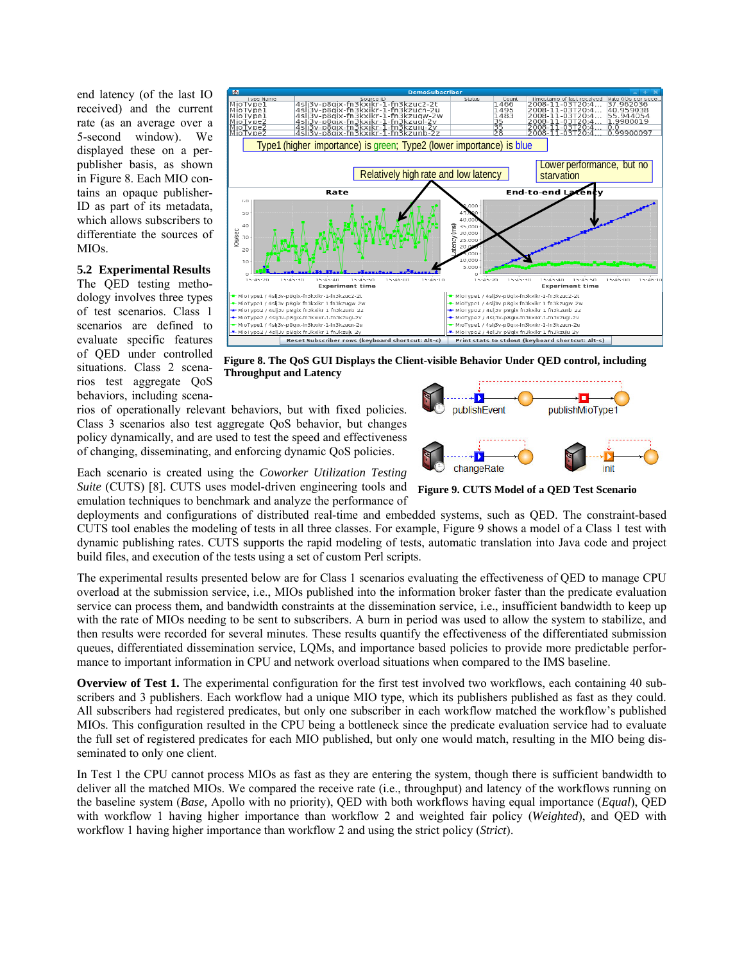end latency (of the last IO received) and the current rate (as an average over a 5-second window). We displayed these on a perpublisher basis, as shown in Figure 8. Each MIO contains an opaque publisher-ID as part of its metadata, which allows subscribers to differentiate the sources of MIOs.

### **5.2 Experimental Results**

The QED testing methodology involves three types of test scenarios. Class 1 scenarios are defined to evaluate specific features of QED under controlled situations. Class 2 scenarios test aggregate QoS behaviors, including scena-



**Figure 8. The QoS GUI Displays the Client-visible Behavior Under QED control, including Throughput and Latency** 

publishEvent

changeRate

rios of operationally relevant behaviors, but with fixed policies. Class 3 scenarios also test aggregate QoS behavior, but changes policy dynamically, and are used to test the speed and effectiveness of changing, disseminating, and enforcing dynamic QoS policies.



deployments and configurations of distributed real-time and embedded systems, such as QED. The constraint-based CUTS tool enables the modeling of tests in all three classes. For example, Figure 9 shows a model of a Class 1 test with dynamic publishing rates. CUTS supports the rapid modeling of tests, automatic translation into Java code and project build files, and execution of the tests using a set of custom Perl scripts.

The experimental results presented below are for Class 1 scenarios evaluating the effectiveness of QED to manage CPU overload at the submission service, i.e., MIOs published into the information broker faster than the predicate evaluation service can process them, and bandwidth constraints at the dissemination service, i.e., insufficient bandwidth to keep up with the rate of MIOs needing to be sent to subscribers. A burn in period was used to allow the system to stabilize, and then results were recorded for several minutes. These results quantify the effectiveness of the differentiated submission queues, differentiated dissemination service, LQMs, and importance based policies to provide more predictable performance to important information in CPU and network overload situations when compared to the IMS baseline.

**Overview of Test 1.** The experimental configuration for the first test involved two workflows, each containing 40 subscribers and 3 publishers. Each workflow had a unique MIO type, which its publishers published as fast as they could. All subscribers had registered predicates, but only one subscriber in each workflow matched the workflow's published MIOs. This configuration resulted in the CPU being a bottleneck since the predicate evaluation service had to evaluate the full set of registered predicates for each MIO published, but only one would match, resulting in the MIO being disseminated to only one client.

In Test 1 the CPU cannot process MIOs as fast as they are entering the system, though there is sufficient bandwidth to deliver all the matched MIOs. We compared the receive rate (i.e., throughput) and latency of the workflows running on the baseline system (*Base,* Apollo with no priority), QED with both workflows having equal importance (*Equal*), QED with workflow 1 having higher importance than workflow 2 and weighted fair policy (*Weighted*), and QED with workflow 1 having higher importance than workflow 2 and using the strict policy (*Strict*).

**Figure 9. CUTS Model of a QED Test Scenario** 

publishMioType1

init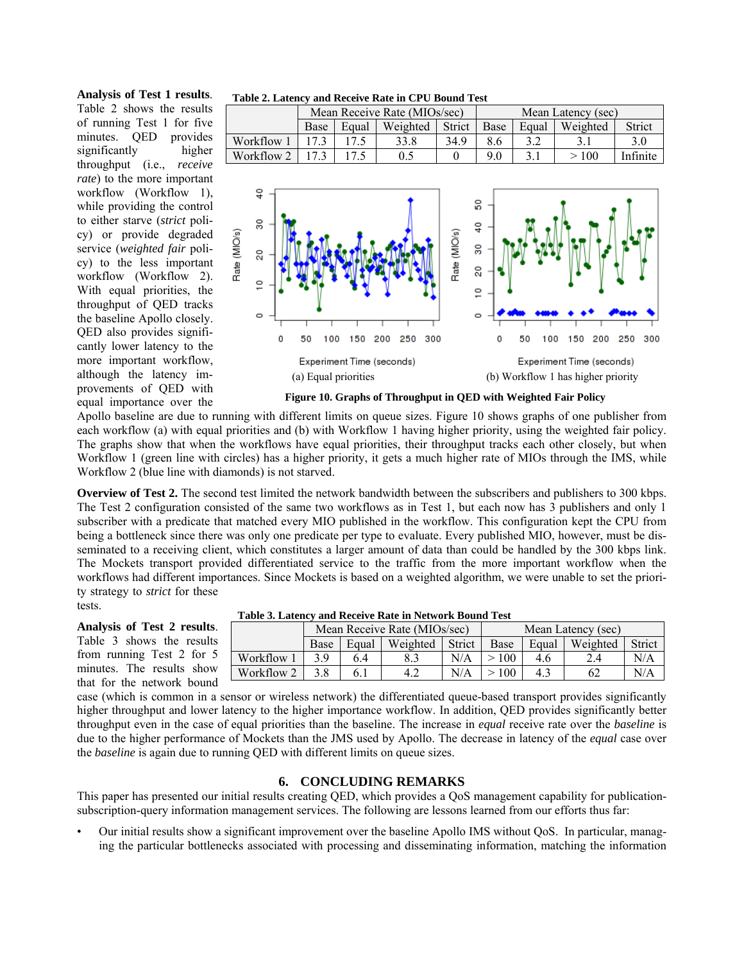**Analysis of Test 1 results**. Table 2 shows the results of running Test 1 for five minutes. QED provides significantly higher throughput (i.e., *receive rate*) to the more important workflow (Workflow 1), while providing the control to either starve (*strict* policy) or provide degraded service (*weighted fair* policy) to the less important workflow (Workflow 2). With equal priorities, the throughput of QED tracks the baseline Apollo closely. QED also provides significantly lower latency to the more important workflow, although the latency improvements of QED with equal importance over the

|                                                  | Mean Receive Rate (MIOs/sec) |                                                          |                   |               | Mean Latency (sec)                       |           |                                                                               |            |  |
|--------------------------------------------------|------------------------------|----------------------------------------------------------|-------------------|---------------|------------------------------------------|-----------|-------------------------------------------------------------------------------|------------|--|
|                                                  | Base                         | Equal                                                    | Weighted          | <b>Strict</b> | Base                                     | Equal     | Weighted                                                                      | Strict     |  |
| Workflow 1                                       | 17.3                         | 17.5                                                     | 33.8              | 34.9          | 8.6                                      | 3.2       | 3.1                                                                           | 3.0        |  |
| Workflow 2                                       | 17.3                         | 17.5                                                     | 0.5               | $\theta$      | 9.0                                      | 3.1       | >100                                                                          | Infinite   |  |
| ş<br>႙<br>Rate (MIO/s)<br>ន<br>ę<br>$\circ$<br>0 | 50<br>100                    | 150<br>Experiment Time (seconds)<br>(a) Equal priorities | 200<br>250<br>300 | Rate (MIO/s)  | ္ဂ<br>ą<br>္က<br>នី<br>÷<br>$\circ$<br>o | 50<br>100 | 150<br>200<br>Experiment Time (seconds)<br>(b) Workflow 1 has higher priority | 250<br>300 |  |

**Table 2. Latency and Receive Rate in CPU Bound Test** 



Apollo baseline are due to running with different limits on queue sizes. Figure 10 shows graphs of one publisher from each workflow (a) with equal priorities and (b) with Workflow 1 having higher priority, using the weighted fair policy. The graphs show that when the workflows have equal priorities, their throughput tracks each other closely, but when Workflow 1 (green line with circles) has a higher priority, it gets a much higher rate of MIOs through the IMS, while Workflow 2 (blue line with diamonds) is not starved.

**Overview of Test 2.** The second test limited the network bandwidth between the subscribers and publishers to 300 kbps. The Test 2 configuration consisted of the same two workflows as in Test 1, but each now has 3 publishers and only 1 subscriber with a predicate that matched every MIO published in the workflow. This configuration kept the CPU from being a bottleneck since there was only one predicate per type to evaluate. Every published MIO, however, must be disseminated to a receiving client, which constitutes a larger amount of data than could be handled by the 300 kbps link. The Mockets transport provided differentiated service to the traffic from the more important workflow when the workflows had different importances. Since Mockets is based on a weighted algorithm, we were unable to set the priority strategy to *strict* for these

tests.

**Analysis of Test 2 results**. Table 3 shows the results from running Test 2 for 5 minutes. The results show that for the network bound

| 100010 01 DUVOIIV<br>unu Aweer e Amee in Feethold Douma Test |                              |       |          |        |                    |       |          |        |
|--------------------------------------------------------------|------------------------------|-------|----------|--------|--------------------|-------|----------|--------|
|                                                              | Mean Receive Rate (MIOs/sec) |       |          |        | Mean Latency (sec) |       |          |        |
|                                                              | Base                         | Equal | Weighted | Strict | Base               | Equal | Weighted | Strict |
| Workflow                                                     |                              | 6.4   |          |        |                    | 46    |          | N/A    |
| Workflow 2                                                   |                              |       |          | N/A    |                    |       |          |        |

**Table 3. Latency and Receive Rate in Network Bound Test** 

case (which is common in a sensor or wireless network) the differentiated queue-based transport provides significantly higher throughput and lower latency to the higher importance workflow. In addition, QED provides significantly better throughput even in the case of equal priorities than the baseline. The increase in *equal* receive rate over the *baseline* is due to the higher performance of Mockets than the JMS used by Apollo. The decrease in latency of the *equal* case over the *baseline* is again due to running QED with different limits on queue sizes.

## **6. CONCLUDING REMARKS**

This paper has presented our initial results creating QED, which provides a QoS management capability for publicationsubscription-query information management services. The following are lessons learned from our efforts thus far:

• Our initial results show a significant improvement over the baseline Apollo IMS without QoS. In particular, managing the particular bottlenecks associated with processing and disseminating information, matching the information